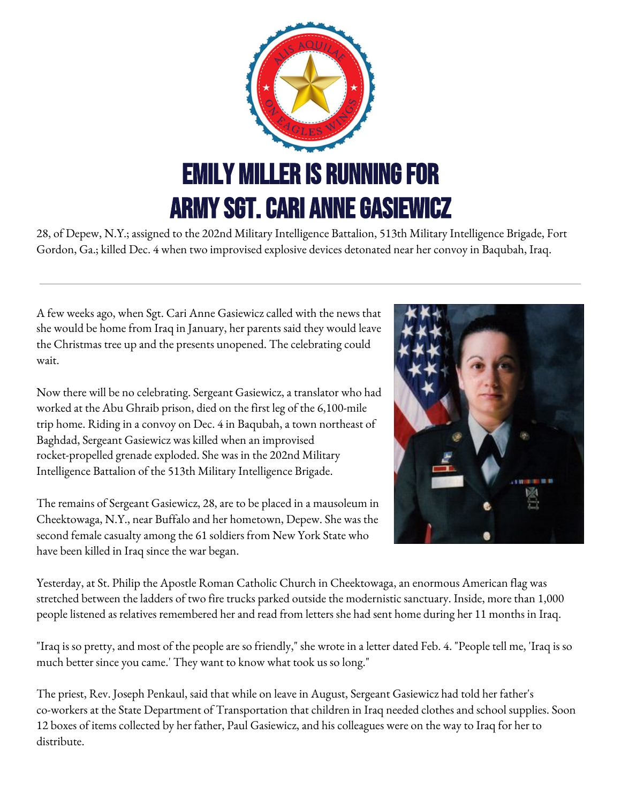

28, of Depew, N.Y.; assigned to the 202nd Military Intelligence Battalion, 513th Military Intelligence Brigade, Fort Gordon, Ga.; killed Dec. 4 when two improvised explosive devices detonated near her convoy in Baqubah, Iraq.

A few weeks ago, when Sgt. Cari Anne Gasiewicz called with the news that she would be home from Iraq in January, her parents said they would leave the Christmas tree up and the presents unopened. The celebrating could wait.

Now there will be no celebrating. Sergeant Gasiewicz, a translator who had worked at the Abu Ghraib prison, died on the first leg of the 6,100-mile trip home. Riding in a convoy on Dec. 4 in Baqubah, a town northeast of Baghdad, Sergeant Gasiewicz was killed when an improvised rocket-propelled grenade exploded. She was in the 202nd Military Intelligence Battalion of the 513th Military Intelligence Brigade.

The remains of Sergeant Gasiewicz, 28, are to be placed in a mausoleum in Cheektowaga, N.Y., near Buffalo and her hometown, Depew. She was the second female casualty among the 61 soldiers from New York State who have been killed in Iraq since the war began.



Yesterday, at St. Philip the Apostle Roman Catholic Church in Cheektowaga, an enormous American flag was stretched between the ladders of two fire trucks parked outside the modernistic sanctuary. Inside, more than 1,000 people listened as relatives remembered her and read from letters she had sent home during her 11 months in Iraq.

"Iraq is so pretty, and most of the people are so friendly," she wrote in a letter dated Feb. 4. "People tell me, 'Iraq is so much better since you came.' They want to know what took us so long."

The priest, Rev. Joseph Penkaul, said that while on leave in August, Sergeant Gasiewicz had told her father's co-workers at the State Department of Transportation that children in Iraq needed clothes and school supplies. Soon 12 boxes of items collected by her father, Paul Gasiewicz, and his colleagues were on the way to Iraq for her to distribute.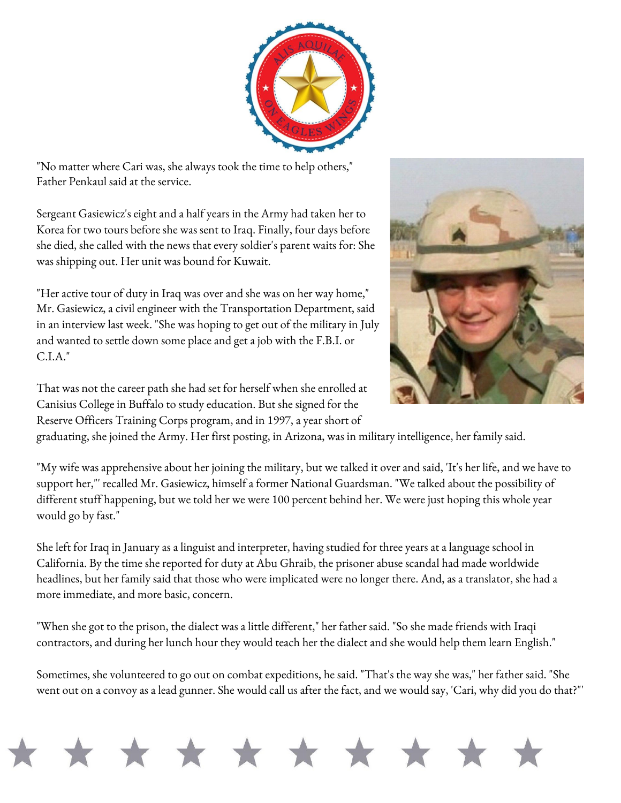

"No matter where Cari was, she always took the time to help others," Father Penkaul said at the service.

Sergeant Gasiewicz's eight and a half years in the Army had taken her to Korea for two tours before she was sent to Iraq. Finally, four days before she died, she called with the news that every soldier's parent waits for: She was shipping out. Her unit was bound for Kuwait.

"Her active tour of duty in Iraq was over and she was on her way home," Mr. Gasiewicz, a civil engineer with the Transportation Department, said in an interview last week. "She was hoping to get out of the military in July and wanted to settle down some place and get a job with the F.B.I. or C.I.A."



That was not the career path she had set for herself when she enrolled at Canisius College in Buffalo to study education. But she signed for the Reserve Officers Training Corps program, and in 1997, a year short of

graduating, she joined the Army. Her first posting, in Arizona, was in military intelligence, her family said.

"My wife was apprehensive about her joining the military, but we talked it over and said, 'It's her life, and we have to support her,"' recalled Mr. Gasiewicz, himself a former National Guardsman. "We talked about the possibility of different stuff happening, but we told her we were 100 percent behind her. We were just hoping this whole year would go by fast."

She left for Iraq in January as a linguist and interpreter, having studied for three years at a language school in California. By the time she reported for duty at Abu Ghraib, the prisoner abuse scandal had made worldwide headlines, but her family said that those who were implicated were no longer there. And, as a translator, she had a more immediate, and more basic, concern.

"When she got to the prison, the dialect was a little different," her father said. "So she made friends with Iraqi contractors, and during her lunch hour they would teach her the dialect and she would help them learn English."

Sometimes, she volunteered to go out on combat expeditions, he said. "That's the way she was," her father said. "She went out on a convoy as a lead gunner. She would call us after the fact, and we would say, 'Cari, why did you do that?"'